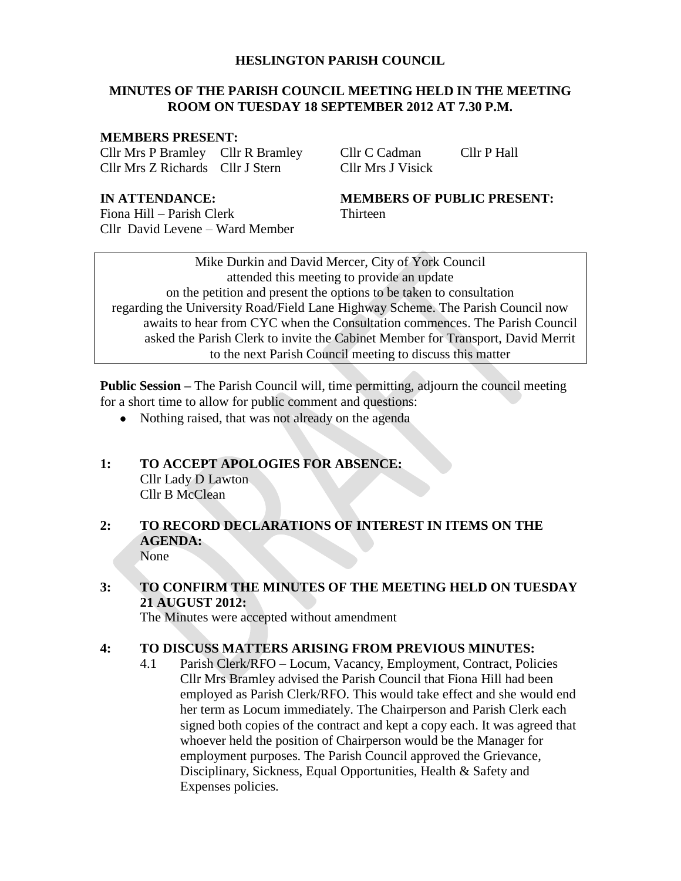#### **HESLINGTON PARISH COUNCIL**

# **MINUTES OF THE PARISH COUNCIL MEETING HELD IN THE MEETING ROOM ON TUESDAY 18 SEPTEMBER 2012 AT 7.30 P.M.**

#### **MEMBERS PRESENT:**

Cllr Mrs P Bramley Cllr R Bramley Cllr C Cadman Cllr P Hall Cllr Mrs Z Richards Cllr J Stern Cllr Mrs J Visick

Fiona Hill – Parish Clerk Thirteen Cllr David Levene – Ward Member

# **IN ATTENDANCE: MEMBERS OF PUBLIC PRESENT:**

Mike Durkin and David Mercer, City of York Council attended this meeting to provide an update on the petition and present the options to be taken to consultation regarding the University Road/Field Lane Highway Scheme. The Parish Council now awaits to hear from CYC when the Consultation commences. The Parish Council asked the Parish Clerk to invite the Cabinet Member for Transport, David Merrit to the next Parish Council meeting to discuss this matter

**Public Session –** The Parish Council will, time permitting, adjourn the council meeting for a short time to allow for public comment and questions:

• Nothing raised, that was not already on the agenda

# **1: TO ACCEPT APOLOGIES FOR ABSENCE:** Cllr Lady D Lawton Cllr B McClean

# **2: TO RECORD DECLARATIONS OF INTEREST IN ITEMS ON THE AGENDA:** None

# **3: TO CONFIRM THE MINUTES OF THE MEETING HELD ON TUESDAY 21 AUGUST 2012:**

The Minutes were accepted without amendment

# **4: TO DISCUSS MATTERS ARISING FROM PREVIOUS MINUTES:**

4.1 Parish Clerk/RFO – Locum, Vacancy, Employment, Contract, Policies Cllr Mrs Bramley advised the Parish Council that Fiona Hill had been employed as Parish Clerk/RFO. This would take effect and she would end her term as Locum immediately. The Chairperson and Parish Clerk each signed both copies of the contract and kept a copy each. It was agreed that whoever held the position of Chairperson would be the Manager for employment purposes. The Parish Council approved the Grievance, Disciplinary, Sickness, Equal Opportunities, Health & Safety and Expenses policies.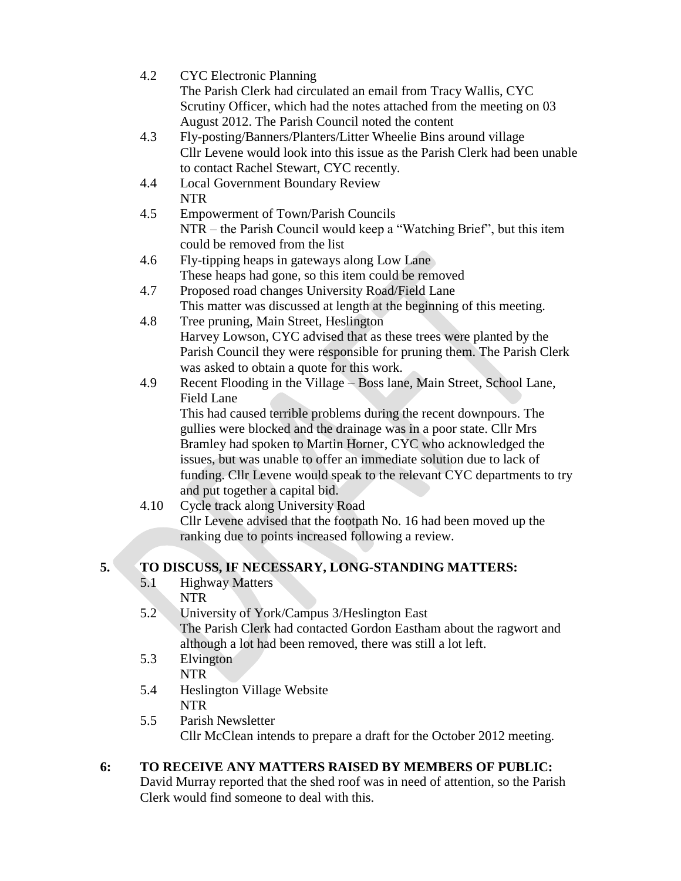| 4.2  | <b>CYC</b> Electronic Planning                                             |
|------|----------------------------------------------------------------------------|
|      | The Parish Clerk had circulated an email from Tracy Wallis, CYC            |
|      | Scrutiny Officer, which had the notes attached from the meeting on 03      |
|      | August 2012. The Parish Council noted the content                          |
| 4.3  | Fly-posting/Banners/Planters/Litter Wheelie Bins around village            |
|      | Cllr Levene would look into this issue as the Parish Clerk had been unable |
|      | to contact Rachel Stewart, CYC recently.                                   |
| 4.4  | <b>Local Government Boundary Review</b>                                    |
|      | <b>NTR</b>                                                                 |
| 4.5  | <b>Empowerment of Town/Parish Councils</b>                                 |
|      | NTR – the Parish Council would keep a "Watching Brief", but this item      |
|      | could be removed from the list                                             |
| 4.6  | Fly-tipping heaps in gateways along Low Lane                               |
|      | These heaps had gone, so this item could be removed                        |
| 4.7  | Proposed road changes University Road/Field Lane                           |
|      | This matter was discussed at length at the beginning of this meeting.      |
| 4.8  | Tree pruning, Main Street, Heslington                                      |
|      | Harvey Lowson, CYC advised that as these trees were planted by the         |
|      | Parish Council they were responsible for pruning them. The Parish Clerk    |
|      | was asked to obtain a quote for this work.                                 |
| 4.9  | Recent Flooding in the Village - Boss lane, Main Street, School Lane,      |
|      | <b>Field Lane</b>                                                          |
|      | This had caused terrible problems during the recent downpours. The         |
|      | gullies were blocked and the drainage was in a poor state. Cllr Mrs        |
|      | Bramley had spoken to Martin Horner, CYC who acknowledged the              |
|      | issues, but was unable to offer an immediate solution due to lack of       |
|      | funding. Cllr Levene would speak to the relevant CYC departments to try    |
|      | and put together a capital bid.                                            |
| 4.10 | Cycle track along University Road                                          |
|      | Cllr Levene advised that the footpath No. 16 had been moved up the         |
|      | ranking due to points increased following a review.                        |
|      |                                                                            |

# **5. TO DISCUSS, IF NECESSARY, LONG-STANDING MATTERS:**

- 5.1 Highway Matters NTR
- 5.2 University of York/Campus 3/Heslington East The Parish Clerk had contacted Gordon Eastham about the ragwort and although a lot had been removed, there was still a lot left.
- 5.3 Elvington NTR
- 5.4 Heslington Village Website NTR
- 5.5 Parish Newsletter Cllr McClean intends to prepare a draft for the October 2012 meeting.

#### **6: TO RECEIVE ANY MATTERS RAISED BY MEMBERS OF PUBLIC:** David Murray reported that the shed roof was in need of attention, so the Parish Clerk would find someone to deal with this.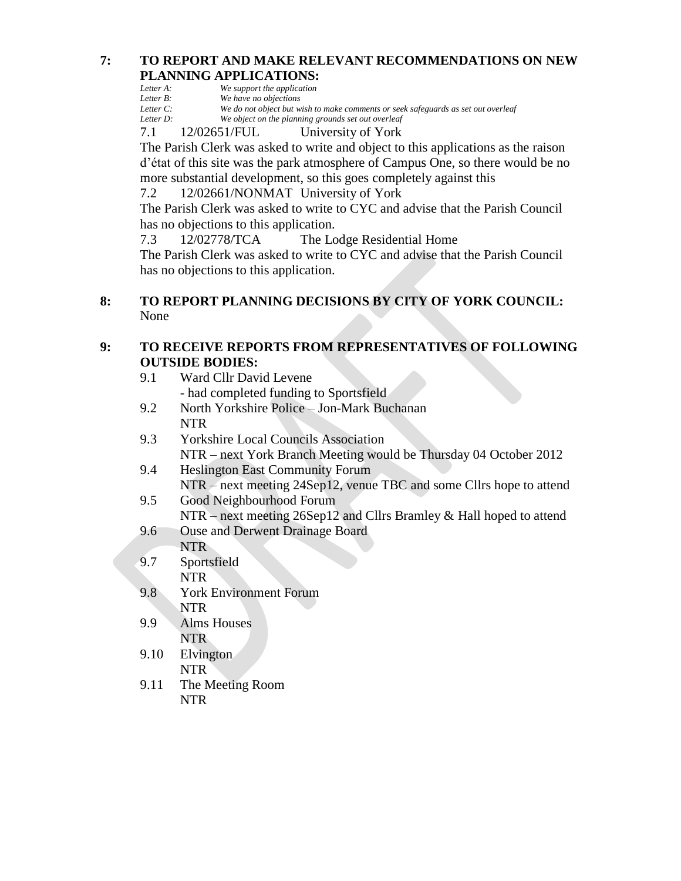# **7: TO REPORT AND MAKE RELEVANT RECOMMENDATIONS ON NEW PLANNING APPLICATIONS:**

| Letter A: | We support the application |  |
|-----------|----------------------------|--|
|           |                            |  |

*Letter B: We have no objections*<br>*Letter C: We do not object but w* 

*Letter C: We do not object but wish to make comments or seek safeguards as set out overleaf*

We object on the planning grounds set out overleaf

7.1 12/02651/FUL University of York

The Parish Clerk was asked to write and object to this applications as the raison d'état of this site was the park atmosphere of Campus One, so there would be no more substantial development, so this goes completely against this

7.2 12/02661/NONMAT University of York

The Parish Clerk was asked to write to CYC and advise that the Parish Council has no objections to this application.

7.3 12/02778/TCA The Lodge Residential Home

The Parish Clerk was asked to write to CYC and advise that the Parish Council has no objections to this application.

# **8: TO REPORT PLANNING DECISIONS BY CITY OF YORK COUNCIL:** None

# **9: TO RECEIVE REPORTS FROM REPRESENTATIVES OF FOLLOWING OUTSIDE BODIES:**

- 9.1 Ward Cllr David Levene - had completed funding to Sportsfield
- 9.2 North Yorkshire Police Jon-Mark Buchanan NTR
- 9.3 Yorkshire Local Councils Association NTR – next York Branch Meeting would be Thursday 04 October 2012
- 9.4 Heslington East Community Forum NTR – next meeting 24Sep12, venue TBC and some Cllrs hope to attend
- 9.5 Good Neighbourhood Forum NTR – next meeting 26Sep12 and Cllrs Bramley & Hall hoped to attend
- 9.6 Ouse and Derwent Drainage Board
- NTR
- 9.7 Sportsfield NTR
- 9.8 York Environment Forum NTR
- 9.9 Alms Houses NTR
- 9.10 Elvington NTR
- 9.11 The Meeting Room NTR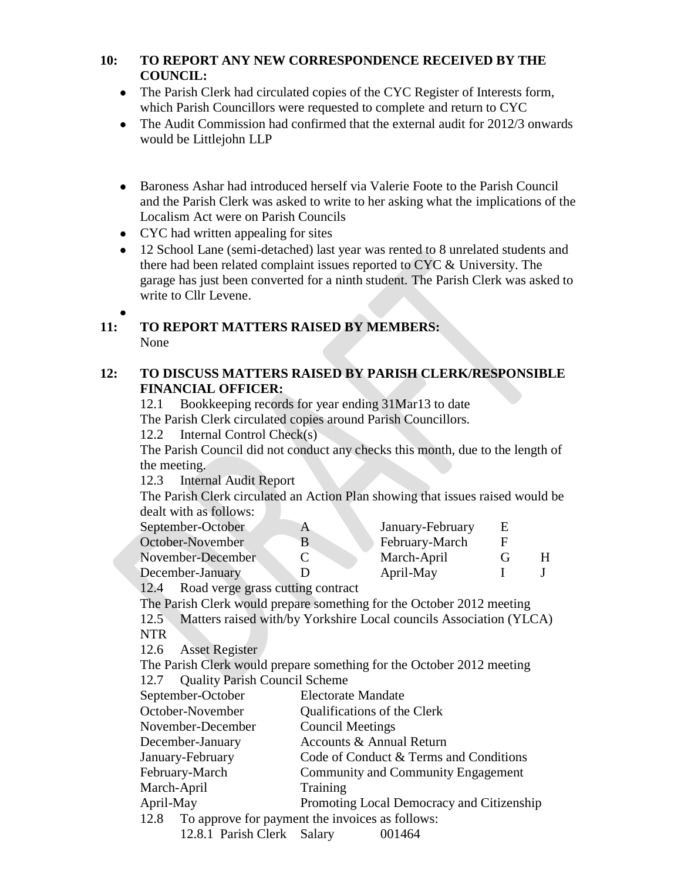# **10: TO REPORT ANY NEW CORRESPONDENCE RECEIVED BY THE COUNCIL:**

- The Parish Clerk had circulated copies of the CYC Register of Interests form, which Parish Councillors were requested to complete and return to CYC
- The Audit Commission had confirmed that the external audit for 2012/3 onwards would be Littlejohn LLP
- Baroness Ashar had introduced herself via Valerie Foote to the Parish Council and the Parish Clerk was asked to write to her asking what the implications of the Localism Act were on Parish Councils
- CYC had written appealing for sites
- 12 School Lane (semi-detached) last year was rented to 8 unrelated students and there had been related complaint issues reported to CYC & University. The garage has just been converted for a ninth student. The Parish Clerk was asked to write to Cllr Levene.

# **11: TO REPORT MATTERS RAISED BY MEMBERS:** None

# **12: TO DISCUSS MATTERS RAISED BY PARISH CLERK/RESPONSIBLE FINANCIAL OFFICER:**

12.1 Bookkeeping records for year ending 31Mar13 to date The Parish Clerk circulated copies around Parish Councillors.

12.2 Internal Control Check(s)

The Parish Council did not conduct any checks this month, due to the length of the meeting.

12.3 Internal Audit Report

The Parish Clerk circulated an Action Plan showing that issues raised would be dealt with as follows:

| September-October | January-February | E |  |
|-------------------|------------------|---|--|
| October-November  | February-March   |   |  |
| November-December | March-April      |   |  |
| December-January  | April-May        |   |  |
|                   |                  |   |  |

12.4 Road verge grass cutting contract

The Parish Clerk would prepare something for the October 2012 meeting

12.5 Matters raised with/by Yorkshire Local councils Association (YLCA) NTR

12.6 Asset Register

The Parish Clerk would prepare something for the October 2012 meeting 12.7 Quality Parish Council Scheme

| $22.7$ $\sqrt{2}$ $\sqrt{2}$ $\sqrt{2}$ $\sqrt{2}$ $\sqrt{2}$ $\sqrt{2}$ $\sqrt{2}$ $\sqrt{2}$ $\sqrt{2}$ $\sqrt{2}$ $\sqrt{2}$ $\sqrt{2}$ $\sqrt{2}$ $\sqrt{2}$ $\sqrt{2}$ $\sqrt{2}$ $\sqrt{2}$ $\sqrt{2}$ $\sqrt{2}$ $\sqrt{2}$ $\sqrt{2}$ $\sqrt{2}$ $\sqrt{2}$ $\sqrt{2}$ $\sqrt{2}$ $\sqrt{2}$ $\sqrt{2}$ |                                           |  |
|-----------------------------------------------------------------------------------------------------------------------------------------------------------------------------------------------------------------------------------------------------------------------------------------------------------------|-------------------------------------------|--|
| September-October                                                                                                                                                                                                                                                                                               | <b>Electorate Mandate</b>                 |  |
| October-November                                                                                                                                                                                                                                                                                                | Qualifications of the Clerk               |  |
| November-December                                                                                                                                                                                                                                                                                               | <b>Council Meetings</b>                   |  |
| December-January                                                                                                                                                                                                                                                                                                | Accounts & Annual Return                  |  |
| January-February                                                                                                                                                                                                                                                                                                | Code of Conduct & Terms and Conditions    |  |
| February-March                                                                                                                                                                                                                                                                                                  | Community and Community Engagement        |  |
| March-April                                                                                                                                                                                                                                                                                                     | Training                                  |  |
| April-May                                                                                                                                                                                                                                                                                                       | Promoting Local Democracy and Citizenship |  |
| 12.8 To approve for payment the invoices as follows:                                                                                                                                                                                                                                                            |                                           |  |
| 12.8.1 Parish Clerk Salary                                                                                                                                                                                                                                                                                      | 001464                                    |  |